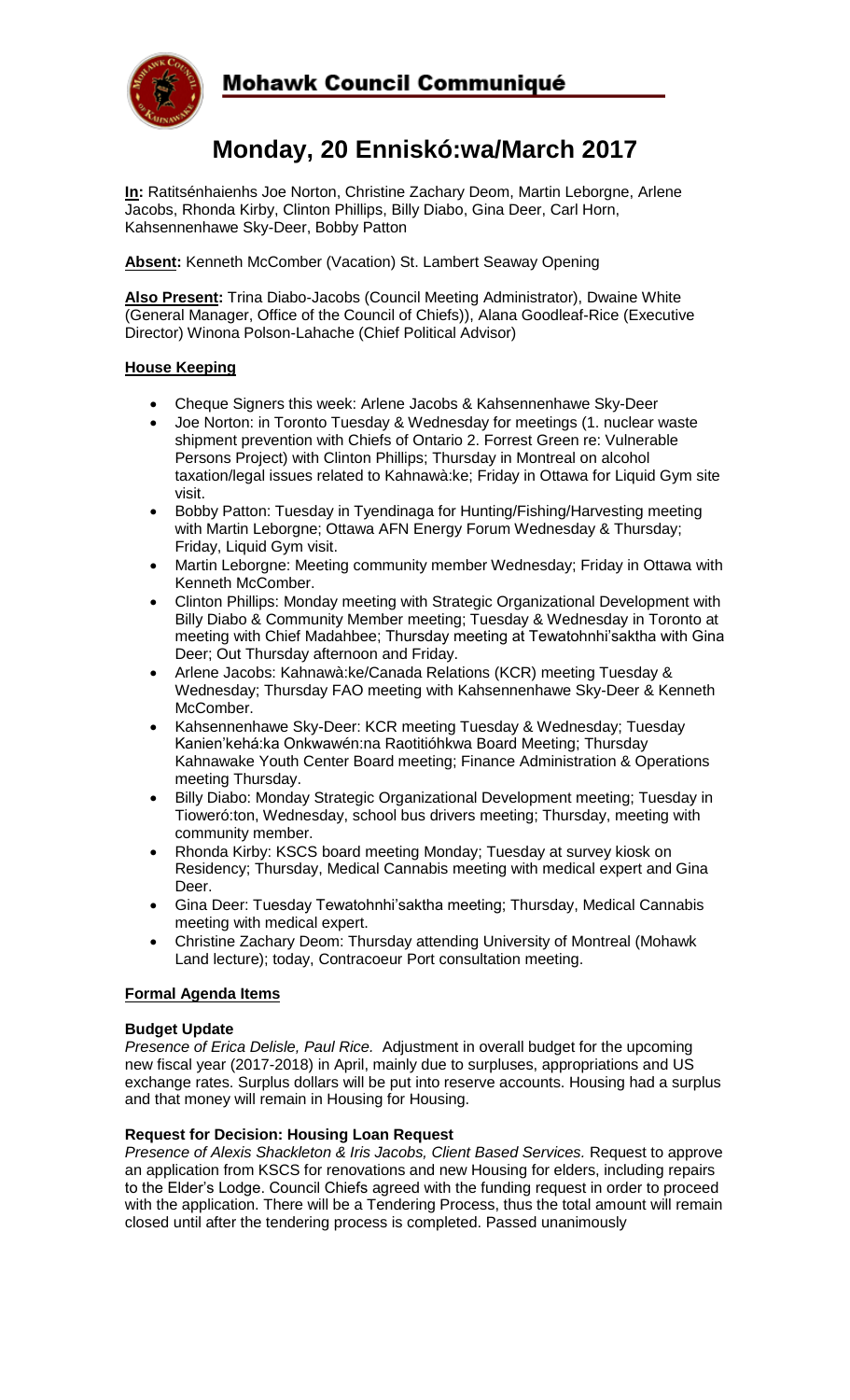

## Mohawk Council Communiqué

# **Monday, 20 Enniskó:wa/March 2017**

**In:** Ratitsénhaienhs Joe Norton, Christine Zachary Deom, Martin Leborgne, Arlene Jacobs, Rhonda Kirby, Clinton Phillips, Billy Diabo, Gina Deer, Carl Horn, Kahsennenhawe Sky-Deer, Bobby Patton

**Absent:** Kenneth McComber (Vacation) St. Lambert Seaway Opening

**Also Present:** Trina Diabo-Jacobs (Council Meeting Administrator), Dwaine White (General Manager, Office of the Council of Chiefs)), Alana Goodleaf-Rice (Executive Director) Winona Polson-Lahache (Chief Political Advisor)

### **House Keeping**

- Cheque Signers this week: Arlene Jacobs & Kahsennenhawe Sky-Deer
- Joe Norton: in Toronto Tuesday & Wednesday for meetings (1. nuclear waste shipment prevention with Chiefs of Ontario 2. Forrest Green re: Vulnerable Persons Project) with Clinton Phillips; Thursday in Montreal on alcohol taxation/legal issues related to Kahnawà:ke; Friday in Ottawa for Liquid Gym site visit.
- Bobby Patton: Tuesday in Tyendinaga for Hunting/Fishing/Harvesting meeting with Martin Leborgne; Ottawa AFN Energy Forum Wednesday & Thursday; Friday, Liquid Gym visit.
- Martin Leborgne: Meeting community member Wednesday; Friday in Ottawa with Kenneth McComber.
- Clinton Phillips: Monday meeting with Strategic Organizational Development with Billy Diabo & Community Member meeting; Tuesday & Wednesday in Toronto at meeting with Chief Madahbee; Thursday meeting at Tewatohnhi'saktha with Gina Deer; Out Thursday afternoon and Friday.
- Arlene Jacobs: Kahnawà:ke/Canada Relations (KCR) meeting Tuesday & Wednesday; Thursday FAO meeting with Kahsennenhawe Sky-Deer & Kenneth McComber.
- Kahsennenhawe Sky-Deer: KCR meeting Tuesday & Wednesday; Tuesday Kanien'kehá:ka Onkwawén:na Raotitióhkwa Board Meeting; Thursday Kahnawake Youth Center Board meeting; Finance Administration & Operations meeting Thursday.
- Billy Diabo: Monday Strategic Organizational Development meeting; Tuesday in Tioweró:ton, Wednesday, school bus drivers meeting; Thursday, meeting with community member.
- Rhonda Kirby: KSCS board meeting Monday; Tuesday at survey kiosk on Residency; Thursday, Medical Cannabis meeting with medical expert and Gina Deer.
- Gina Deer: Tuesday Tewatohnhi'saktha meeting; Thursday, Medical Cannabis meeting with medical expert.
- Christine Zachary Deom: Thursday attending University of Montreal (Mohawk Land lecture); today, Contracoeur Port consultation meeting.

### **Formal Agenda Items**

### **Budget Update**

*Presence of Erica Delisle, Paul Rice.* Adjustment in overall budget for the upcoming new fiscal year (2017-2018) in April, mainly due to surpluses, appropriations and US exchange rates. Surplus dollars will be put into reserve accounts. Housing had a surplus and that money will remain in Housing for Housing.

### **Request for Decision: Housing Loan Request**

*Presence of Alexis Shackleton & Iris Jacobs, Client Based Services.* Request to approve an application from KSCS for renovations and new Housing for elders, including repairs to the Elder's Lodge. Council Chiefs agreed with the funding request in order to proceed with the application. There will be a Tendering Process, thus the total amount will remain closed until after the tendering process is completed. Passed unanimously